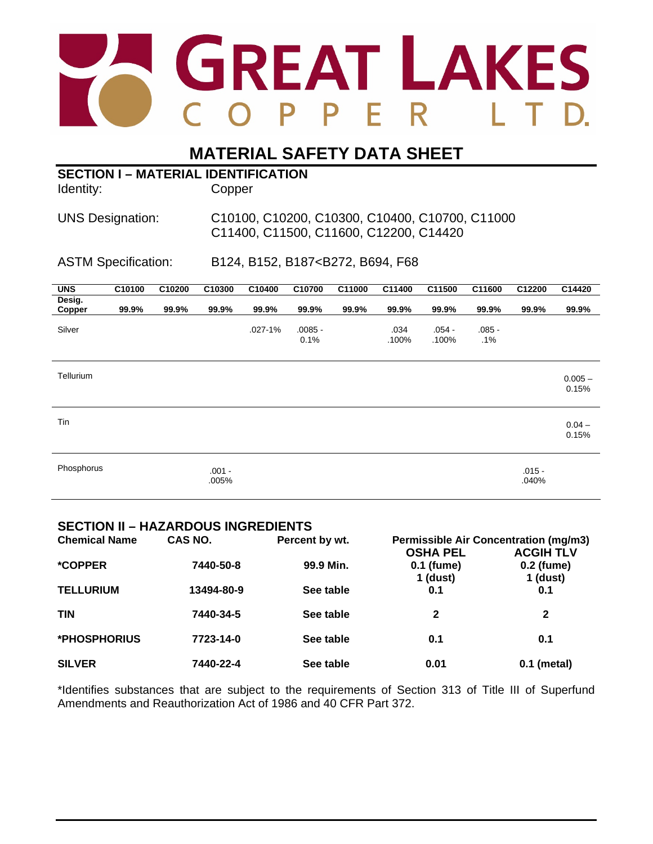

# **MATERIAL SAFETY DATA SHEET**

| <b>SECTION I - MATERIAL IDENTIFICATION</b><br>Identity: |        |        | Copper                                                                                   |                                                                  |                   |        |               |                   |                 |                   |                    |
|---------------------------------------------------------|--------|--------|------------------------------------------------------------------------------------------|------------------------------------------------------------------|-------------------|--------|---------------|-------------------|-----------------|-------------------|--------------------|
| <b>UNS Designation:</b>                                 |        |        | C10100, C10200, C10300, C10400, C10700, C11000<br>C11400, C11500, C11600, C12200, C14420 |                                                                  |                   |        |               |                   |                 |                   |                    |
| <b>ASTM Specification:</b>                              |        |        |                                                                                          | B124, B152, B187 <b272, b694,="" f68<="" td=""><td></td></b272,> |                   |        |               |                   |                 |                   |                    |
| <b>UNS</b>                                              | C10100 | C10200 | C10300                                                                                   | C10400                                                           | C10700            | C11000 | C11400        | C11500            | C11600          | C12200            | C14420             |
| Desig.<br>Copper                                        | 99.9%  | 99.9%  | 99.9%                                                                                    | 99.9%                                                            | 99.9%             | 99.9%  | 99.9%         | 99.9%             | 99.9%           | 99.9%             | 99.9%              |
| Silver                                                  |        |        |                                                                                          | $.027 - 1%$                                                      | $.0085 -$<br>0.1% |        | .034<br>.100% | $.054 -$<br>.100% | $.085 -$<br>.1% |                   |                    |
| Tellurium                                               |        |        |                                                                                          |                                                                  |                   |        |               |                   |                 |                   | $0.005 -$<br>0.15% |
| Tin                                                     |        |        |                                                                                          |                                                                  |                   |        |               |                   |                 |                   | $0.04 -$<br>0.15%  |
| Phosphorus                                              |        |        | $.001 -$<br>.005%                                                                        |                                                                  |                   |        |               |                   |                 | $.015 -$<br>.040% |                    |

### **SECTION II – HAZARDOUS INGREDIENTS**

| <b>Chemical Name</b>  | CAS NO.    | Percent by wt. | <b>Permissible Air Concentration (mg/m3)</b> |                        |  |
|-----------------------|------------|----------------|----------------------------------------------|------------------------|--|
|                       |            |                | <b>OSHA PEL</b>                              | <b>ACGIH TLV</b>       |  |
| <i><b>*COPPER</b></i> | 7440-50-8  | 99.9 Min.      | 0.1 (fume)<br>1 (dust)                       | 0.2 (fume)<br>1 (dust) |  |
| <b>TELLURIUM</b>      | 13494-80-9 | See table      | 0.1                                          | 0.1                    |  |
| <b>TIN</b>            | 7440-34-5  | See table      | $\mathbf{2}$                                 | $\mathbf{2}$           |  |
| *PHOSPHORIUS          | 7723-14-0  | See table      | 0.1                                          | 0.1                    |  |
| <b>SILVER</b>         | 7440-22-4  | See table      | 0.01                                         | $0.1$ (metal)          |  |

\*Identifies substances that are subject to the requirements of Section 313 of Title III of Superfund Amendments and Reauthorization Act of 1986 and 40 CFR Part 372.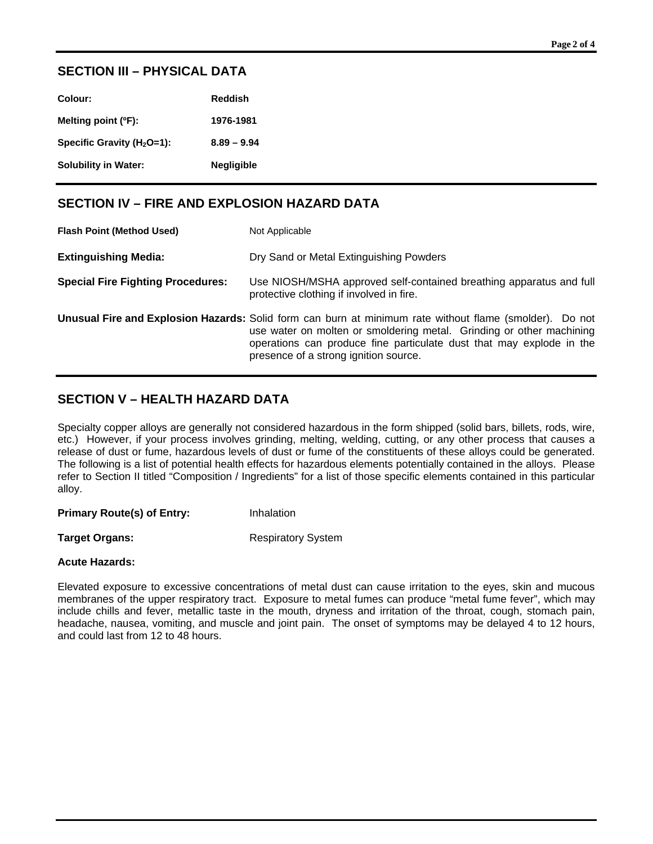# **SECTION III – PHYSICAL DATA**

| Colour:                        | <b>Reddish</b>    |
|--------------------------------|-------------------|
| Melting point (°F):            | 1976-1981         |
| Specific Gravity ( $H_2O=1$ ): | $8.89 - 9.94$     |
| Solubility in Water:           | <b>Negligible</b> |

# **SECTION IV – FIRE AND EXPLOSION HAZARD DATA**

| <b>Flash Point (Method Used)</b>         | Not Applicable                                                                                                                                                                                                                                                                                   |
|------------------------------------------|--------------------------------------------------------------------------------------------------------------------------------------------------------------------------------------------------------------------------------------------------------------------------------------------------|
| <b>Extinguishing Media:</b>              | Dry Sand or Metal Extinguishing Powders                                                                                                                                                                                                                                                          |
| <b>Special Fire Fighting Procedures:</b> | Use NIOSH/MSHA approved self-contained breathing apparatus and full<br>protective clothing if involved in fire.                                                                                                                                                                                  |
|                                          | Unusual Fire and Explosion Hazards: Solid form can burn at minimum rate without flame (smolder). Do not<br>use water on molten or smoldering metal. Grinding or other machining<br>operations can produce fine particulate dust that may explode in the<br>presence of a strong ignition source. |

# **SECTION V – HEALTH HAZARD DATA**

Specialty copper alloys are generally not considered hazardous in the form shipped (solid bars, billets, rods, wire, etc.) However, if your process involves grinding, melting, welding, cutting, or any other process that causes a release of dust or fume, hazardous levels of dust or fume of the constituents of these alloys could be generated. The following is a list of potential health effects for hazardous elements potentially contained in the alloys. Please refer to Section II titled "Composition / Ingredients" for a list of those specific elements contained in this particular alloy.

**Primary Route(s) of Entry:** Inhalation

**Target Organs:** Respiratory System

#### **Acute Hazards:**

Elevated exposure to excessive concentrations of metal dust can cause irritation to the eyes, skin and mucous membranes of the upper respiratory tract. Exposure to metal fumes can produce "metal fume fever", which may include chills and fever, metallic taste in the mouth, dryness and irritation of the throat, cough, stomach pain, headache, nausea, vomiting, and muscle and joint pain. The onset of symptoms may be delayed 4 to 12 hours, and could last from 12 to 48 hours.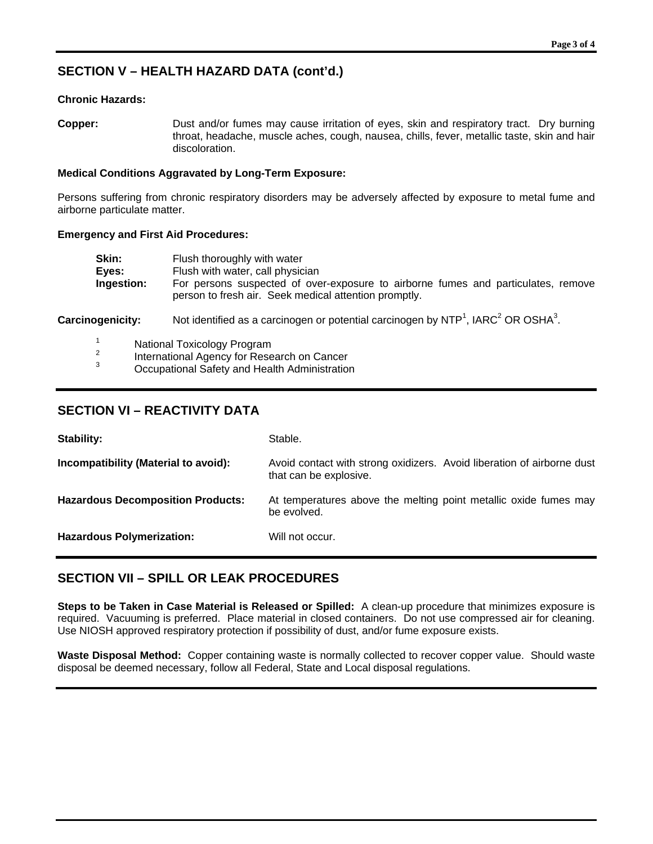# **SECTION V – HEALTH HAZARD DATA (cont'd.)**

#### **Chronic Hazards:**

**Copper:** Dust and/or fumes may cause irritation of eyes, skin and respiratory tract. Dry burning throat, headache, muscle aches, cough, nausea, chills, fever, metallic taste, skin and hair discoloration.

#### **Medical Conditions Aggravated by Long-Term Exposure:**

Persons suffering from chronic respiratory disorders may be adversely affected by exposure to metal fume and airborne particulate matter.

#### **Emergency and First Aid Procedures:**

| Skin:      | Flush thoroughly with water                                                       |
|------------|-----------------------------------------------------------------------------------|
| Eyes:      | Flush with water, call physician                                                  |
| Ingestion: | For persons suspected of over-exposure to airborne fumes and particulates, remove |
|            | person to fresh air. Seek medical attention promptly.                             |

Carcinogenicity: Not identified as a carcinogen or potential carcinogen by NTP<sup>1</sup>, IARC<sup>2</sup> OR OSHA<sup>3</sup>.

- 
- <sup>1</sup> National Toxicology Program<br><sup>2</sup> International Agency for Research on Cancer<br><sup>3</sup> Occupational Safety and Health Administration
- 

### **SECTION VI – REACTIVITY DATA**

| Stability:                               | Stable.                                                                                          |
|------------------------------------------|--------------------------------------------------------------------------------------------------|
| Incompatibility (Material to avoid):     | Avoid contact with strong oxidizers. Avoid liberation of airborne dust<br>that can be explosive. |
| <b>Hazardous Decomposition Products:</b> | At temperatures above the melting point metallic oxide fumes may<br>be evolved.                  |
| <b>Hazardous Polymerization:</b>         | Will not occur.                                                                                  |

# **SECTION VII – SPILL OR LEAK PROCEDURES**

**Steps to be Taken in Case Material is Released or Spilled:** A clean-up procedure that minimizes exposure is required. Vacuuming is preferred. Place material in closed containers. Do not use compressed air for cleaning. Use NIOSH approved respiratory protection if possibility of dust, and/or fume exposure exists.

**Waste Disposal Method:** Copper containing waste is normally collected to recover copper value. Should waste disposal be deemed necessary, follow all Federal, State and Local disposal regulations.